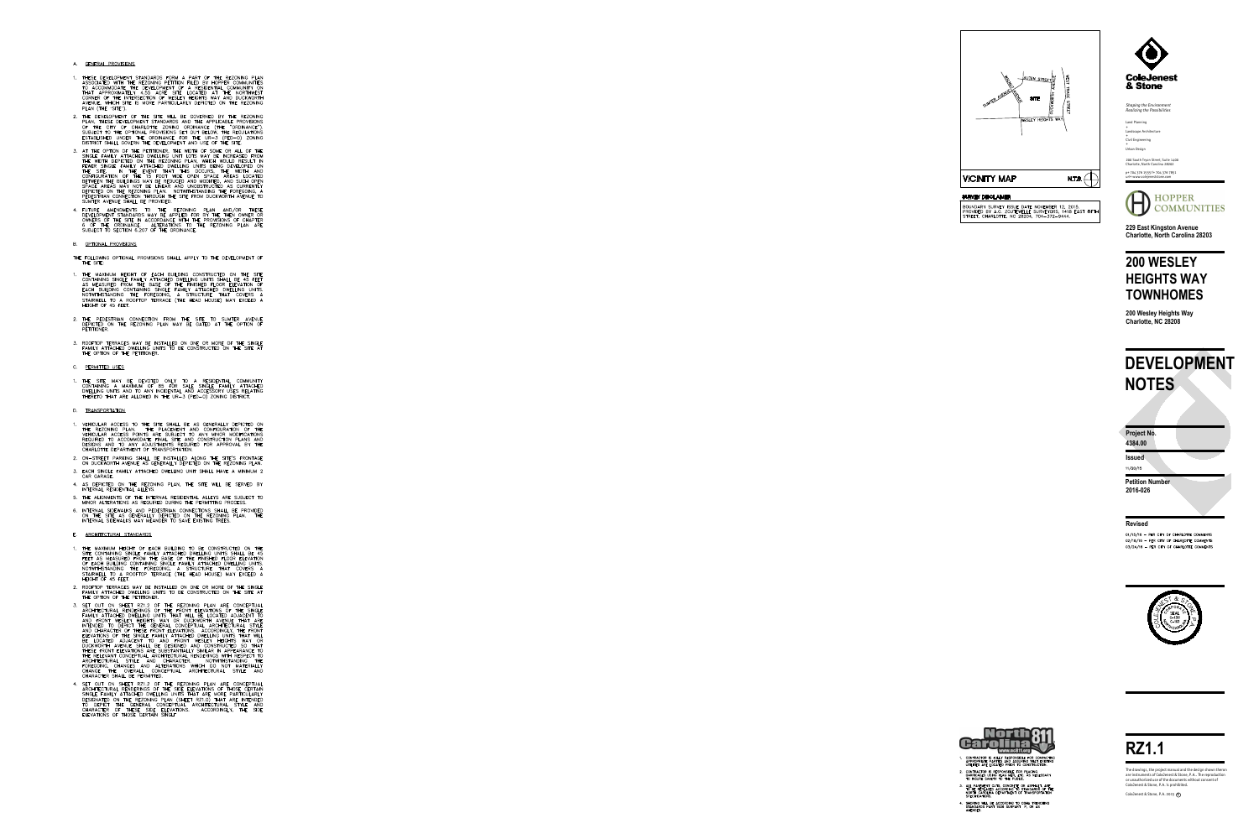# **RZ1.1**

ColeJenest & Stone, P.A. 2015 **c**

**Issued** 11/20/15

ColeJenest & Stone, P.A. is prohibited. or unauthorized use of the documents without consent of are instruments of ColeJenest & Stone, P.A.. The reproduction The drawings, the project manual and the design shown theron

#### **Project No.**

#### **Revised**

01/15/16 - PER CITY OF CHARLOTTE COMMENTS 02/18/16 - PER CITY OF CHARLOTTE COMMENTS 03/24/16 - PER CITY OF CHARLOTTE COMMENTS





- 1. CONTRACTOR IS FULLY RESPONSIBLE FOR CONTACTING<br>APPROPRIATE PARTIES AND ASSURING THAT EXISTING<br>UTILITIES ARE LOCATED PRIOR TO CONSTRUCTION.
- 2. CONTRACTOR IS RESPONSIBLE FOR PLACING<br>BARRICADES USING FLAG MEN, ETC. AS NECESSARY<br>TO INSURE SAFETY TO THE PUBLIC.
- 3. ALL PAVEMENT CUTS, CONCRETE OR ASPHALT, ARE<br>TO BE REPLACED ACCORDING TO STANDARDS OF THE<br>NORTH CAROLINA DEPARTMENT OF TRANSPORTATION<br>SPECIFICATIONS.
- 4. SHORING WILL BE ACCORDING TO OSHA TRENCHING<br>STANDARDS PART 1926 SUBPART P, OR AS<br>AMENDED.

200 South Tryon Street, Suite 1400 Charlotte, North Carolina 28202 p+ 704 376 1555 f+ 704 376 7851

url+ www.colejeneststone.com



*Shaping the Environment Realizing the Possibilities*

Land Planning + Landscape Architecture +Civil Engineering  $+$ Urban Design

**229 East Kingston Avenue Charlotte, North Carolina 28203**

## **200 WESLEY HEIGHTS WAY TOWNHOMES**

**200 Wesley Heights Way Charlotte, NC 28208**

**4384.00**

**Petition Number 2016-026**

- A. GENERAL PROVISIONS
- 1. THESE DEVELOPMENT STANDARDS FORM A PART OF THE REZONING PLAN<br>ASSOCIATED WITH THE REZONING PETITION FILED BY HOPPER COMMUNITIES ASSOCIATED WITH THE REZONING PETITION FILED BT HOPPER COMMONITIES<br>TO ACCOMMODATE THE DEVELOPMENT OF A RESIDENTIAL COMMUNITY ON<br>THAT APPROXIMATELY 4.55 ACRE SITE LOCATED AT THE NORTHWEST<br>CORNER OF THE INTERSECTION OF WESLEY PLAN (THE



BOUNDARY SURVEY ISSUE DATE NOVEMBER 12, 2015.<br>PROVIDED BY A.G. ZOUTEWELLE SURVEYORS, 1418 EAST FIFTH<br>STREET, CHARLOTTE, NC 28204, 704-372-9444.



## **DEVELOPMENT NOTES**